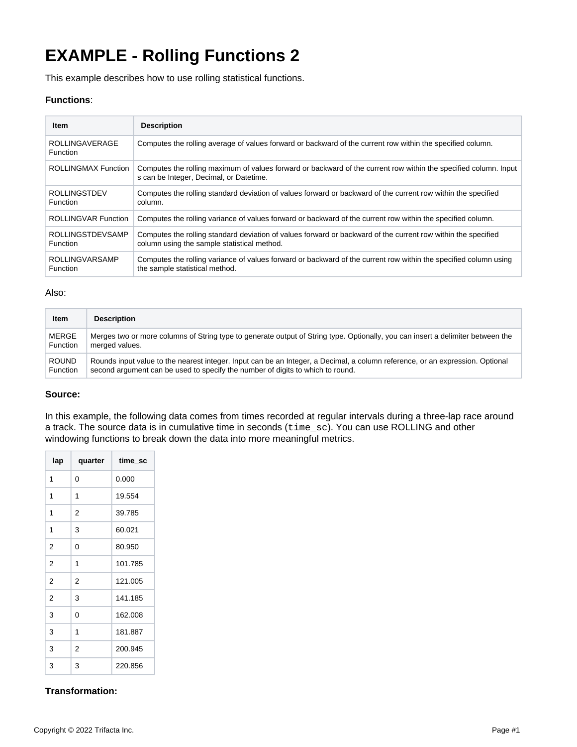# **EXAMPLE - Rolling Functions 2**

This example describes how to use rolling statistical functions.

# **Functions**:

| Item                                       | <b>Description</b>                                                                                                                                           |
|--------------------------------------------|--------------------------------------------------------------------------------------------------------------------------------------------------------------|
| <b>ROLLINGAVERAGE</b><br><b>Function</b>   | Computes the rolling average of values forward or backward of the current row within the specified column.                                                   |
| <b>ROLLINGMAX Function</b>                 | Computes the rolling maximum of values forward or backward of the current row within the specified column. Input<br>s can be Integer, Decimal, or Datetime.  |
| <b>ROLLINGSTDEV</b><br><b>Function</b>     | Computes the rolling standard deviation of values forward or backward of the current row within the specified<br>column.                                     |
| ROLLINGVAR Function                        | Computes the rolling variance of values forward or backward of the current row within the specified column.                                                  |
| <b>ROLLINGSTDEVSAMP</b><br><b>Function</b> | Computes the rolling standard deviation of values forward or backward of the current row within the specified<br>column using the sample statistical method. |
| <b>ROLLINGVARSAMP</b><br><b>Function</b>   | Computes the rolling variance of values forward or backward of the current row within the specified column using<br>the sample statistical method.           |

#### Also:

| <b>Item</b>     | <b>Description</b>                                                                                                              |
|-----------------|---------------------------------------------------------------------------------------------------------------------------------|
| MERGE           | Merges two or more columns of String type to generate output of String type. Optionally, you can insert a delimiter between the |
| <b>Function</b> | merged values.                                                                                                                  |
| <b>ROUND</b>    | Rounds input value to the nearest integer. Input can be an Integer, a Decimal, a column reference, or an expression. Optional   |
| <b>Function</b> | second argument can be used to specify the number of digits to which to round.                                                  |

## **Source:**

In this example, the following data comes from times recorded at regular intervals during a three-lap race around a track. The source data is in cumulative time in seconds (time\_sc). You can use ROLLING and other windowing functions to break down the data into more meaningful metrics.

| lap            | quarter | time_sc |
|----------------|---------|---------|
| 1              | 0       | 0.000   |
| 1              | 1       | 19.554  |
| 1              | 2       | 39.785  |
| 1              | 3       | 60.021  |
| 2              | 0       | 80.950  |
| $\overline{2}$ | 1       | 101.785 |
| 2              | 2       | 121.005 |
| 2              | 3       | 141.185 |
| 3              | 0       | 162.008 |
| 3              | 1       | 181.887 |
| 3              | 2       | 200.945 |
| 3              | 3       | 220.856 |

# **Transformation:**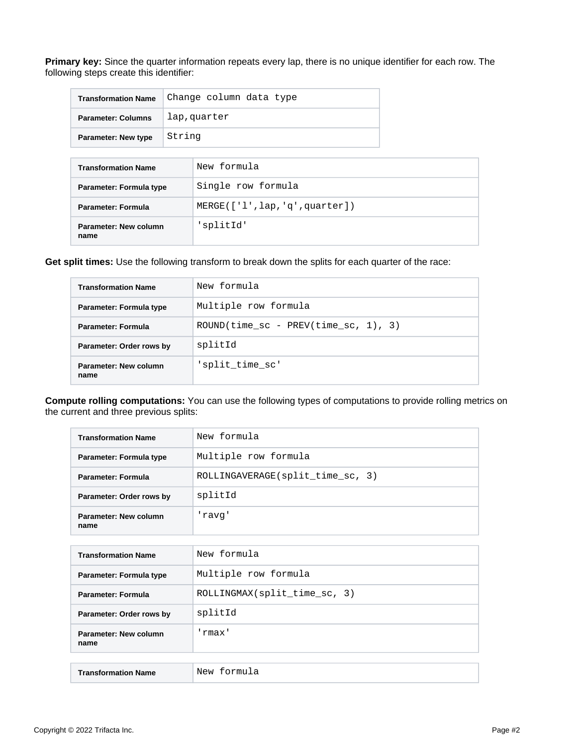**Primary key:** Since the quarter information repeats every lap, there is no unique identifier for each row. The following steps create this identifier:

| <b>Transformation Name</b> | Change column data type |
|----------------------------|-------------------------|
| <b>Parameter: Columns</b>  | lap, quarter            |
| <b>Parameter: New type</b> | String                  |

| <b>Transformation Name</b>    | New formula                    |
|-------------------------------|--------------------------------|
| Parameter: Formula type       | Single row formula             |
| Parameter: Formula            | MERGE([ 'l', lap,'q',quarter]) |
| Parameter: New column<br>name | 'splitId'                      |

**Get split times:** Use the following transform to break down the splits for each quarter of the race:

| <b>Transformation Name</b>    | New formula                                             |
|-------------------------------|---------------------------------------------------------|
| Parameter: Formula type       | Multiple row formula                                    |
| <b>Parameter: Formula</b>     | ROUND(time $\text{sc}$ - PREV(time $\text{sc}$ , 1), 3) |
| Parameter: Order rows by      | splitId                                                 |
| Parameter: New column<br>name | 'split time sc'                                         |

**Compute rolling computations:** You can use the following types of computations to provide rolling metrics on the current and three previous splits:

| <b>Transformation Name</b>    | New formula                      |
|-------------------------------|----------------------------------|
| Parameter: Formula type       | Multiple row formula             |
| Parameter: Formula            | ROLLINGAVERAGE(split time sc, 3) |
| Parameter: Order rows by      | splitId                          |
| Parameter: New column<br>name | 'ravq'                           |
|                               |                                  |
| <b>Transformation Name</b>    | New formula                      |
| Parameter: Formula type       | Multiple row formula             |
| <b>Parameter: Formula</b>     | ROLLINGMAX(split_time_sc, 3)     |
| Parameter: Order rows by      | splitId                          |
| Parameter: New column<br>name | 'rmax'                           |
|                               |                                  |
| <b>Transformation Name</b>    | New formula                      |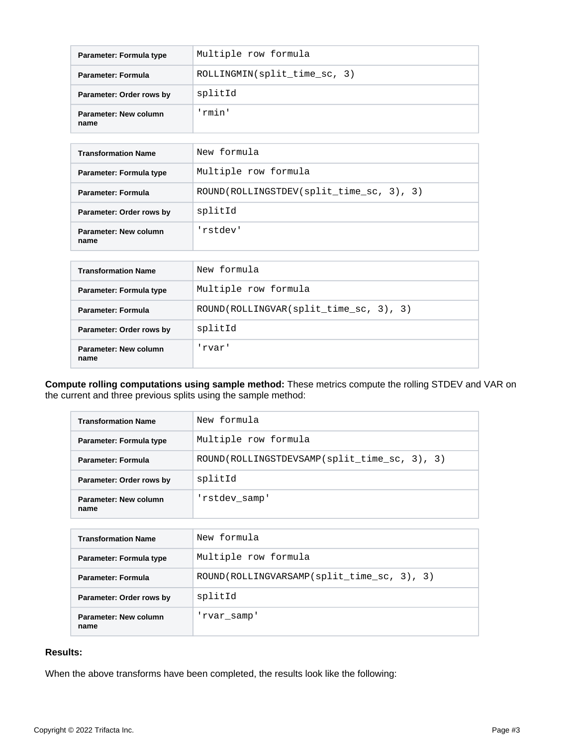| Parameter: Formula type       | Multiple row formula         |
|-------------------------------|------------------------------|
| <b>Parameter: Formula</b>     | ROLLINGMIN(split time sc, 3) |
| Parameter: Order rows by      | splitId                      |
| Parameter: New column<br>name | 'rmin'                       |

| <b>Transformation Name</b>    | New formula                              |
|-------------------------------|------------------------------------------|
| Parameter: Formula type       | Multiple row formula                     |
| <b>Parameter: Formula</b>     | ROUND(ROLLINGSTDEV(split time sc, 3), 3) |
| Parameter: Order rows by      | splitId                                  |
| Parameter: New column<br>name | 'rstdev'                                 |

| <b>Transformation Name</b>    | New formula                            |
|-------------------------------|----------------------------------------|
| Parameter: Formula type       | Multiple row formula                   |
| Parameter: Formula            | ROUND(ROLLINGVAR(split_time_sc, 3), 3) |
| Parameter: Order rows by      | splitId                                |
| Parameter: New column<br>name | 'rvar'                                 |

**Compute rolling computations using sample method:** These metrics compute the rolling STDEV and VAR on the current and three previous splits using the sample method:

| <b>Transformation Name</b>    | New formula                                  |
|-------------------------------|----------------------------------------------|
| Parameter: Formula type       | Multiple row formula                         |
| Parameter: Formula            | ROUND(ROLLINGSTDEVSAMP(split time sc, 3), 3) |
| Parameter: Order rows by      | splitId                                      |
| Parameter: New column<br>name | 'rstdev samp'                                |

| <b>Transformation Name</b>    | New formula                                |
|-------------------------------|--------------------------------------------|
| Parameter: Formula type       | Multiple row formula                       |
| Parameter: Formula            | ROUND(ROLLINGVARSAMP(split_time_sc, 3), 3) |
| Parameter: Order rows by      | splitId                                    |
| Parameter: New column<br>name | 'rvar samp'                                |

### **Results:**

When the above transforms have been completed, the results look like the following: